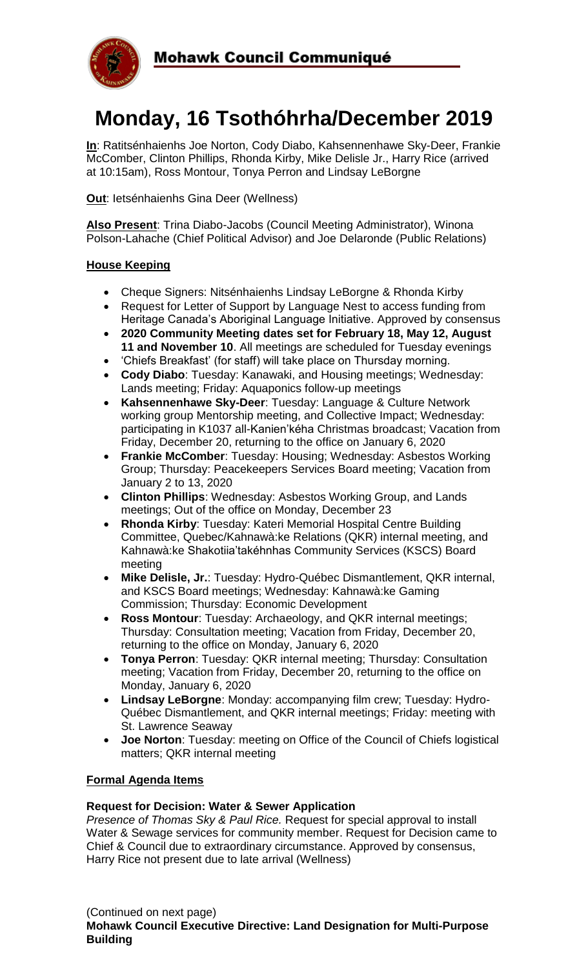

# **Monday, 16 Tsothóhrha/December 2019**

**In**: Ratitsénhaienhs Joe Norton, Cody Diabo, Kahsennenhawe Sky-Deer, Frankie McComber, Clinton Phillips, Rhonda Kirby, Mike Delisle Jr., Harry Rice (arrived at 10:15am), Ross Montour, Tonya Perron and Lindsay LeBorgne

**Out**: Ietsénhaienhs Gina Deer (Wellness)

**Also Present**: Trina Diabo-Jacobs (Council Meeting Administrator), Winona Polson-Lahache (Chief Political Advisor) and Joe Delaronde (Public Relations)

#### **House Keeping**

- Cheque Signers: Nitsénhaienhs Lindsay LeBorgne & Rhonda Kirby
- Request for Letter of Support by Language Nest to access funding from Heritage Canada's Aboriginal Language Initiative. Approved by consensus
- **2020 Community Meeting dates set for February 18, May 12, August 11 and November 10**. All meetings are scheduled for Tuesday evenings
- 'Chiefs Breakfast' (for staff) will take place on Thursday morning.
- **Cody Diabo**: Tuesday: Kanawaki, and Housing meetings; Wednesday: Lands meeting; Friday: Aquaponics follow-up meetings
- **Kahsennenhawe Sky-Deer**: Tuesday: Language & Culture Network working group Mentorship meeting, and Collective Impact; Wednesday: participating in K1037 all-Kanien'kéha Christmas broadcast; Vacation from Friday, December 20, returning to the office on January 6, 2020
- **Frankie McComber**: Tuesday: Housing; Wednesday: Asbestos Working Group; Thursday: Peacekeepers Services Board meeting; Vacation from January 2 to 13, 2020
- **Clinton Phillips**: Wednesday: Asbestos Working Group, and Lands meetings; Out of the office on Monday, December 23
- **Rhonda Kirby**: Tuesday: Kateri Memorial Hospital Centre Building Committee, Quebec/Kahnawà:ke Relations (QKR) internal meeting, and Kahnawà:ke Shakotiia'takéhnhas Community Services (KSCS) Board meeting
- **Mike Delisle, Jr.**: Tuesday: Hydro-Québec Dismantlement, QKR internal, and KSCS Board meetings; Wednesday: Kahnawà:ke Gaming Commission; Thursday: Economic Development
- **Ross Montour**: Tuesday: Archaeology, and QKR internal meetings; Thursday: Consultation meeting; Vacation from Friday, December 20, returning to the office on Monday, January 6, 2020
- **Tonya Perron**: Tuesday: QKR internal meeting; Thursday: Consultation meeting; Vacation from Friday, December 20, returning to the office on Monday, January 6, 2020
- **Lindsay LeBorgne**: Monday: accompanying film crew; Tuesday: Hydro-Québec Dismantlement, and QKR internal meetings; Friday: meeting with St. Lawrence Seaway
- **Joe Norton**: Tuesday: meeting on Office of the Council of Chiefs logistical matters; QKR internal meeting

### **Formal Agenda Items**

#### **Request for Decision: Water & Sewer Application**

*Presence of Thomas Sky & Paul Rice.* Request for special approval to install Water & Sewage services for community member. Request for Decision came to Chief & Council due to extraordinary circumstance. Approved by consensus, Harry Rice not present due to late arrival (Wellness)